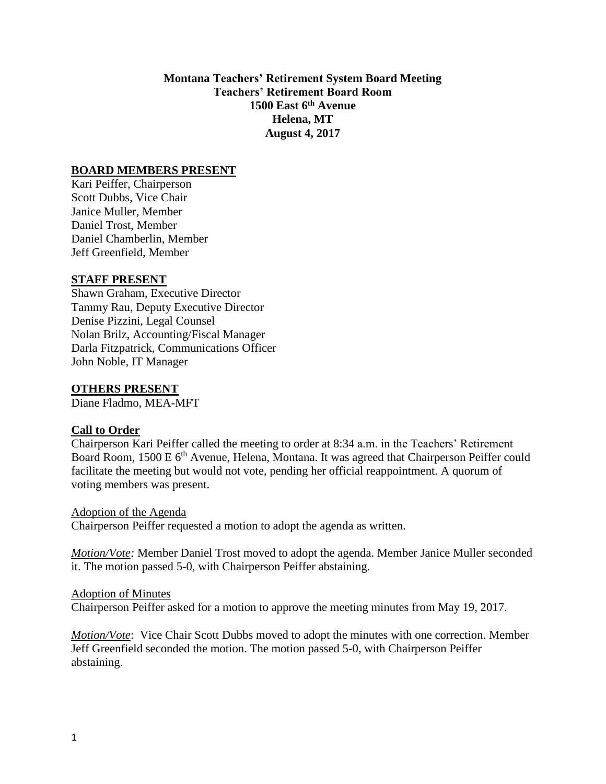**Montana Teachers' Retirement System Board Meeting Teachers' Retirement Board Room 1500 East 6 th Avenue Helena, MT August 4, 2017**

#### **BOARD MEMBERS PRESENT**

Kari Peiffer, Chairperson Scott Dubbs, Vice Chair Janice Muller, Member Daniel Trost, Member Daniel Chamberlin, Member Jeff Greenfield, Member

#### **STAFF PRESENT**

Shawn Graham, Executive Director Tammy Rau, Deputy Executive Director Denise Pizzini, Legal Counsel Nolan Brilz, Accounting/Fiscal Manager Darla Fitzpatrick, Communications Officer John Noble, IT Manager

#### **OTHERS PRESENT**

Diane Fladmo, MEA-MFT

#### **Call to Order**

Chairperson Kari Peiffer called the meeting to order at 8:34 a.m. in the Teachers' Retirement Board Room, 1500 E 6<sup>th</sup> Avenue, Helena, Montana. It was agreed that Chairperson Peiffer could facilitate the meeting but would not vote, pending her official reappointment. A quorum of voting members was present.

Adoption of the Agenda Chairperson Peiffer requested a motion to adopt the agenda as written.

*Motion/Vote:* Member Daniel Trost moved to adopt the agenda. Member Janice Muller seconded it. The motion passed 5-0, with Chairperson Peiffer abstaining.

#### Adoption of Minutes

Chairperson Peiffer asked for a motion to approve the meeting minutes from May 19, 2017.

*Motion/Vote*: Vice Chair Scott Dubbs moved to adopt the minutes with one correction. Member Jeff Greenfield seconded the motion. The motion passed 5-0, with Chairperson Peiffer abstaining.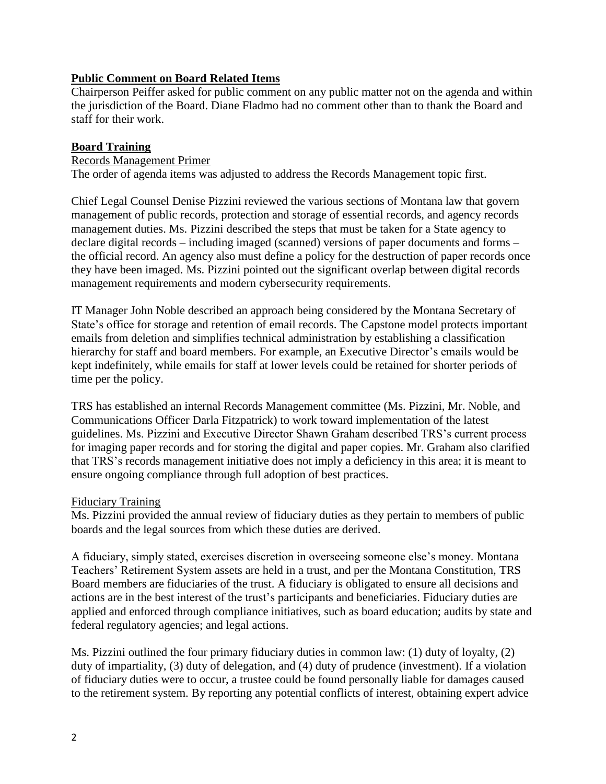## **Public Comment on Board Related Items**

Chairperson Peiffer asked for public comment on any public matter not on the agenda and within the jurisdiction of the Board. Diane Fladmo had no comment other than to thank the Board and staff for their work.

## **Board Training**

## Records Management Primer

The order of agenda items was adjusted to address the Records Management topic first.

Chief Legal Counsel Denise Pizzini reviewed the various sections of Montana law that govern management of public records, protection and storage of essential records, and agency records management duties. Ms. Pizzini described the steps that must be taken for a State agency to declare digital records – including imaged (scanned) versions of paper documents and forms – the official record. An agency also must define a policy for the destruction of paper records once they have been imaged. Ms. Pizzini pointed out the significant overlap between digital records management requirements and modern cybersecurity requirements.

IT Manager John Noble described an approach being considered by the Montana Secretary of State's office for storage and retention of email records. The Capstone model protects important emails from deletion and simplifies technical administration by establishing a classification hierarchy for staff and board members. For example, an Executive Director's emails would be kept indefinitely, while emails for staff at lower levels could be retained for shorter periods of time per the policy.

TRS has established an internal Records Management committee (Ms. Pizzini, Mr. Noble, and Communications Officer Darla Fitzpatrick) to work toward implementation of the latest guidelines. Ms. Pizzini and Executive Director Shawn Graham described TRS's current process for imaging paper records and for storing the digital and paper copies. Mr. Graham also clarified that TRS's records management initiative does not imply a deficiency in this area; it is meant to ensure ongoing compliance through full adoption of best practices.

#### Fiduciary Training

Ms. Pizzini provided the annual review of fiduciary duties as they pertain to members of public boards and the legal sources from which these duties are derived.

A fiduciary, simply stated, exercises discretion in overseeing someone else's money. Montana Teachers' Retirement System assets are held in a trust, and per the Montana Constitution, TRS Board members are fiduciaries of the trust. A fiduciary is obligated to ensure all decisions and actions are in the best interest of the trust's participants and beneficiaries. Fiduciary duties are applied and enforced through compliance initiatives, such as board education; audits by state and federal regulatory agencies; and legal actions.

Ms. Pizzini outlined the four primary fiduciary duties in common law: (1) duty of loyalty, (2) duty of impartiality, (3) duty of delegation, and (4) duty of prudence (investment). If a violation of fiduciary duties were to occur, a trustee could be found personally liable for damages caused to the retirement system. By reporting any potential conflicts of interest, obtaining expert advice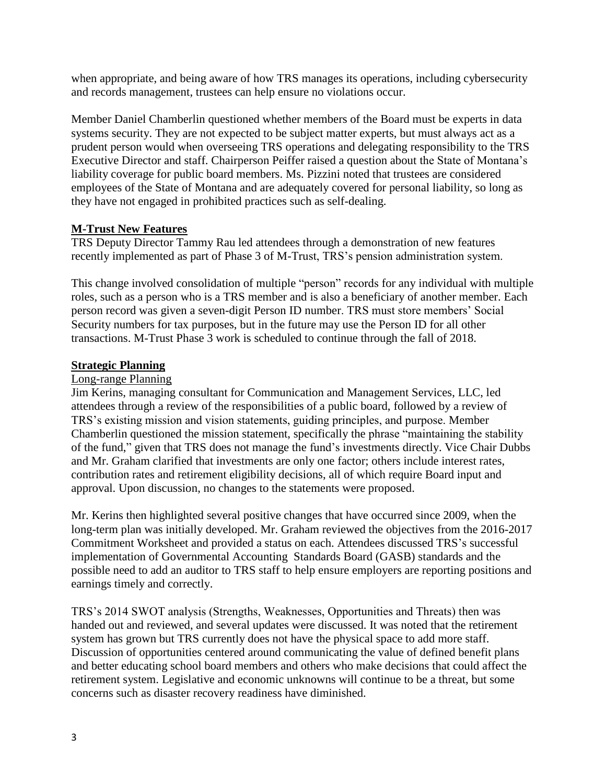when appropriate, and being aware of how TRS manages its operations, including cybersecurity and records management, trustees can help ensure no violations occur.

Member Daniel Chamberlin questioned whether members of the Board must be experts in data systems security. They are not expected to be subject matter experts, but must always act as a prudent person would when overseeing TRS operations and delegating responsibility to the TRS Executive Director and staff. Chairperson Peiffer raised a question about the State of Montana's liability coverage for public board members. Ms. Pizzini noted that trustees are considered employees of the State of Montana and are adequately covered for personal liability, so long as they have not engaged in prohibited practices such as self-dealing.

## **M-Trust New Features**

TRS Deputy Director Tammy Rau led attendees through a demonstration of new features recently implemented as part of Phase 3 of M-Trust, TRS's pension administration system.

This change involved consolidation of multiple "person" records for any individual with multiple roles, such as a person who is a TRS member and is also a beneficiary of another member. Each person record was given a seven-digit Person ID number. TRS must store members' Social Security numbers for tax purposes, but in the future may use the Person ID for all other transactions. M-Trust Phase 3 work is scheduled to continue through the fall of 2018.

#### **Strategic Planning**

## Long-range Planning

Jim Kerins, managing consultant for Communication and Management Services, LLC, led attendees through a review of the responsibilities of a public board, followed by a review of TRS's existing mission and vision statements, guiding principles, and purpose. Member Chamberlin questioned the mission statement, specifically the phrase "maintaining the stability of the fund," given that TRS does not manage the fund's investments directly. Vice Chair Dubbs and Mr. Graham clarified that investments are only one factor; others include interest rates, contribution rates and retirement eligibility decisions, all of which require Board input and approval. Upon discussion, no changes to the statements were proposed.

Mr. Kerins then highlighted several positive changes that have occurred since 2009, when the long-term plan was initially developed. Mr. Graham reviewed the objectives from the 2016-2017 Commitment Worksheet and provided a status on each. Attendees discussed TRS's successful implementation of Governmental Accounting Standards Board (GASB) standards and the possible need to add an auditor to TRS staff to help ensure employers are reporting positions and earnings timely and correctly.

TRS's 2014 SWOT analysis (Strengths, Weaknesses, Opportunities and Threats) then was handed out and reviewed, and several updates were discussed. It was noted that the retirement system has grown but TRS currently does not have the physical space to add more staff. Discussion of opportunities centered around communicating the value of defined benefit plans and better educating school board members and others who make decisions that could affect the retirement system. Legislative and economic unknowns will continue to be a threat, but some concerns such as disaster recovery readiness have diminished.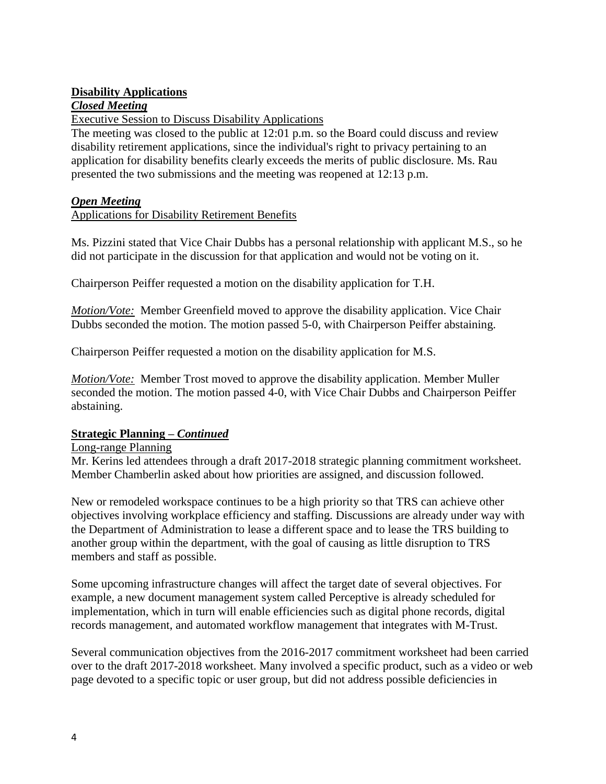# **Disability Applications**

# *Closed Meeting*

Executive Session to Discuss Disability Applications

The meeting was closed to the public at 12:01 p.m. so the Board could discuss and review disability retirement applications, since the individual's right to privacy pertaining to an application for disability benefits clearly exceeds the merits of public disclosure. Ms. Rau presented the two submissions and the meeting was reopened at 12:13 p.m.

## *Open Meeting*

## Applications for Disability Retirement Benefits

Ms. Pizzini stated that Vice Chair Dubbs has a personal relationship with applicant M.S., so he did not participate in the discussion for that application and would not be voting on it.

Chairperson Peiffer requested a motion on the disability application for T.H.

*Motion/Vote:* Member Greenfield moved to approve the disability application. Vice Chair Dubbs seconded the motion. The motion passed 5-0, with Chairperson Peiffer abstaining.

Chairperson Peiffer requested a motion on the disability application for M.S.

*Motion/Vote:* Member Trost moved to approve the disability application. Member Muller seconded the motion. The motion passed 4-0, with Vice Chair Dubbs and Chairperson Peiffer abstaining.

# **Strategic Planning –** *Continued*

#### Long-range Planning

Mr. Kerins led attendees through a draft 2017-2018 strategic planning commitment worksheet. Member Chamberlin asked about how priorities are assigned, and discussion followed.

New or remodeled workspace continues to be a high priority so that TRS can achieve other objectives involving workplace efficiency and staffing. Discussions are already under way with the Department of Administration to lease a different space and to lease the TRS building to another group within the department, with the goal of causing as little disruption to TRS members and staff as possible.

Some upcoming infrastructure changes will affect the target date of several objectives. For example, a new document management system called Perceptive is already scheduled for implementation, which in turn will enable efficiencies such as digital phone records, digital records management, and automated workflow management that integrates with M-Trust.

Several communication objectives from the 2016-2017 commitment worksheet had been carried over to the draft 2017-2018 worksheet. Many involved a specific product, such as a video or web page devoted to a specific topic or user group, but did not address possible deficiencies in